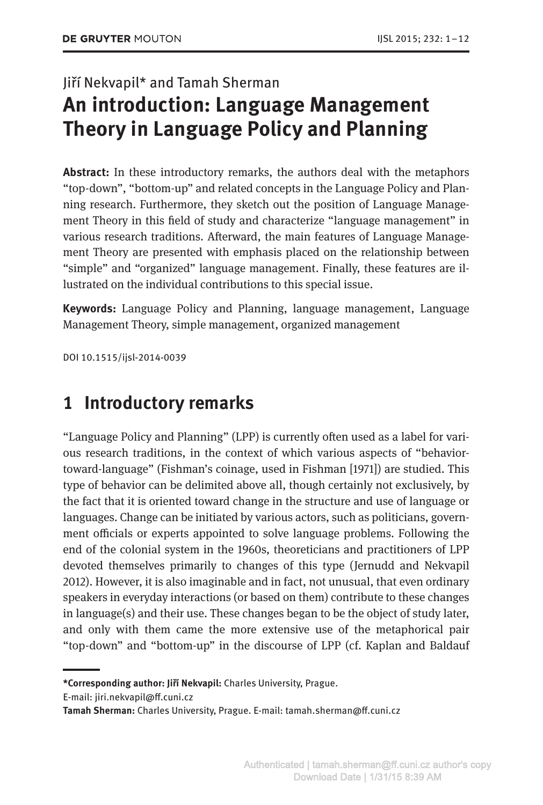## Jiří Nekvapil\* and Tamah Sherman **An introduction: Language Management Theory in Language Policy and Planning**

**Abstract:** In these introductory remarks, the authors deal with the metaphors "top-down", "bottom-up" and related concepts in the Language Policy and Planning research. Furthermore, they sketch out the position of Language Management Theory in this field of study and characterize "language management" in various research traditions. Afterward, the main features of Language Management Theory are presented with emphasis placed on the relationship between "simple" and "organized" language management. Finally, these features are illustrated on the individual contributions to this special issue.

**Keywords:** Language Policy and Planning, language management, Language Management Theory, simple management, organized management

DOI 10.1515/ijsl-2014-0039

#### **1 Introductory remarks**

"Language Policy and Planning" (LPP) is currently often used as a label for various research traditions, in the context of which various aspects of "behaviortoward-language" (Fishman's coinage, used in Fishman [1971]) are studied. This type of behavior can be delimited above all, though certainly not exclusively, by the fact that it is oriented toward change in the structure and use of language or languages. Change can be initiated by various actors, such as politicians, government officials or experts appointed to solve language problems. Following the end of the colonial system in the 1960s, theoreticians and practitioners of LPP devoted themselves primarily to changes of this type (Jernudd and Nekvapil 2012). However, it is also imaginable and in fact, not unusual, that even ordinary speakers in everyday interactions (or based on them) contribute to these changes in language(s) and their use. These changes began to be the object of study later, and only with them came the more extensive use of the metaphorical pair "top-down" and "bottom-up" in the discourse of LPP (cf. Kaplan and Baldauf

**\*Corresponding author: Jiří Nekvapil:** Charles University, Prague.

E-mail: jiri.nekvapil@ff.cuni.cz

**Tamah Sherman:** Charles University, Prague. E-mail: tamah.sherman@ff.cuni.cz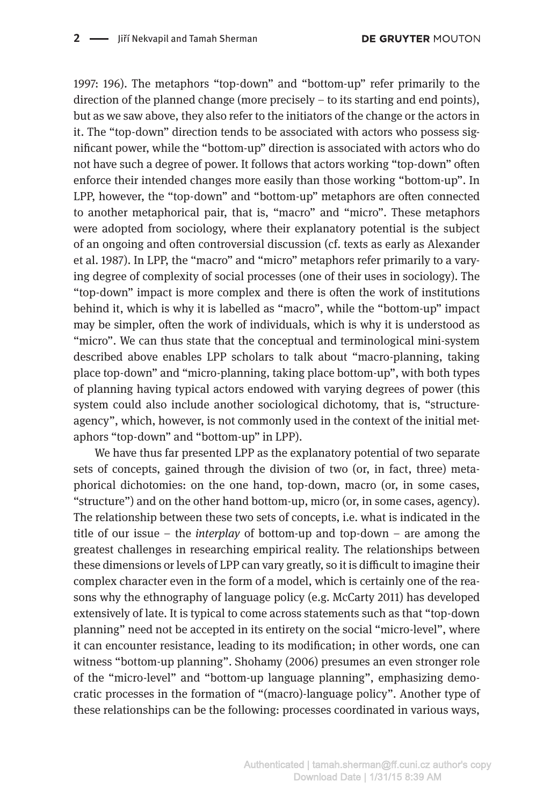1997: 196). The metaphors "top-down" and "bottom-up" refer primarily to the direction of the planned change (more precisely  $-$  to its starting and end points), but as we saw above, they also refer to the initiators of the change or the actors in it. The "top-down" direction tends to be associated with actors who possess significant power, while the "bottom-up" direction is associated with actors who do not have such a degree of power. It follows that actors working "top-down" often enforce their intended changes more easily than those working "bottom-up". In LPP, however, the "top-down" and "bottom-up" metaphors are often connected to another metaphorical pair, that is, "macro" and "micro". These metaphors were adopted from sociology, where their explanatory potential is the subject of an ongoing and often controversial discussion (cf. texts as early as Alexander et al. 1987). In LPP, the "macro" and "micro" metaphors refer primarily to a varying degree of complexity of social processes (one of their uses in sociology). The "top-down" impact is more complex and there is often the work of institutions behind it, which is why it is labelled as "macro", while the "bottom-up" impact may be simpler, often the work of individuals, which is why it is understood as "micro". We can thus state that the conceptual and terminological mini-system described above enables LPP scholars to talk about "macro-planning, taking place top-down" and "micro-planning, taking place bottom-up", with both types of planning having typical actors endowed with varying degrees of power (this system could also include another sociological dichotomy, that is, "structureagency", which, however, is not commonly used in the context of the initial metaphors "top-down" and "bottom-up" in LPP).

We have thus far presented LPP as the explanatory potential of two separate sets of concepts, gained through the division of two (or, in fact, three) metaphorical dichotomies: on the one hand, top-down, macro (or, in some cases, "structure") and on the other hand bottom-up, micro (or, in some cases, agency). The relationship between these two sets of concepts, i.e. what is indicated in the title of our issue – the *interplay* of bottom-up and top-down – are among the greatest challenges in researching empirical reality. The relationships between these dimensions or levels of LPP can vary greatly, so it is difficult to imagine their complex character even in the form of a model, which is certainly one of the reasons why the ethnography of language policy (e.g. McCarty 2011) has developed extensively of late. It is typical to come across statements such as that "top-down planning" need not be accepted in its entirety on the social "micro-level", where it can encounter resistance, leading to its modification; in other words, one can witness "bottom-up planning". Shohamy (2006) presumes an even stronger role of the "micro-level" and "bottom-up language planning", emphasizing democratic processes in the formation of "(macro)-language policy". Another type of these relationships can be the following: processes coordinated in various ways,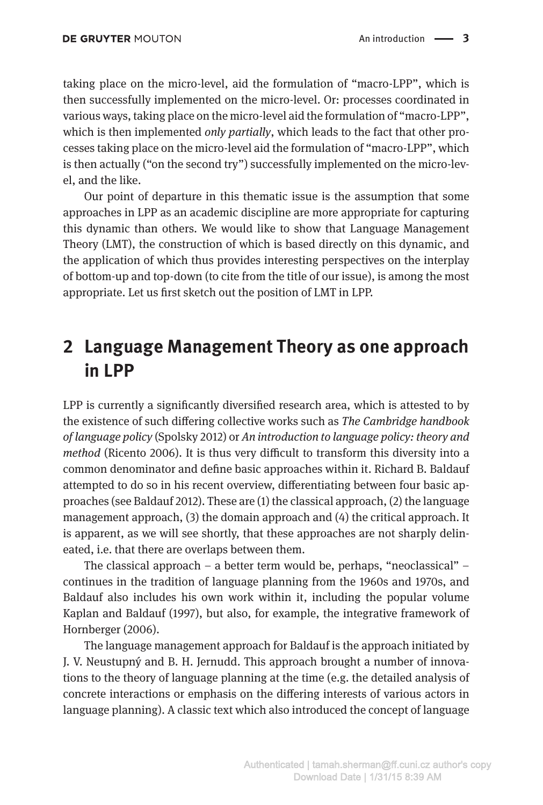taking place on the micro-level, aid the formulation of "macro-LPP", which is then successfully implemented on the micro-level. Or: processes coordinated in various ways, taking place on the micro-level aid the formulation of "macro-LPP", which is then implemented *only partially*, which leads to the fact that other processes taking place on the micro-level aid the formulation of "macro-LPP", which is then actually ("on the second try") successfully implemented on the micro-level, and the like.

Our point of departure in this thematic issue is the assumption that some approaches in LPP as an academic discipline are more appropriate for capturing this dynamic than others. We would like to show that Language Management Theory (LMT), the construction of which is based directly on this dynamic, and the application of which thus provides interesting perspectives on the interplay of bottom-up and top-down (to cite from the title of our issue), is among the most appropriate. Let us first sketch out the position of LMT in LPP.

### **2 Language Management Theory as one approach in LPP**

LPP is currently a significantly diversified research area, which is attested to by the existence of such differing collective works such as *The Cambridge handbook of language policy* (Spolsky 2012) or *An introduction to language policy: theory and method* (Ricento 2006). It is thus very difficult to transform this diversity into a common denominator and define basic approaches within it. Richard B. Baldauf attempted to do so in his recent overview, differentiating between four basic approaches (see Baldauf 2012). These are (1) the classical approach, (2) the language management approach, (3) the domain approach and (4) the critical approach. It is apparent, as we will see shortly, that these approaches are not sharply delineated, i.e. that there are overlaps between them.

The classical approach – a better term would be, perhaps, "neoclassical" – continues in the tradition of language planning from the 1960s and 1970s, and Baldauf also includes his own work within it, including the popular volume Kaplan and Baldauf (1997), but also, for example, the integrative framework of Hornberger (2006).

The language management approach for Baldauf is the approach initiated by J. V. Neustupný and B. H. Jernudd. This approach brought a number of innovations to the theory of language planning at the time (e.g. the detailed analysis of concrete interactions or emphasis on the differing interests of various actors in language planning). A classic text which also introduced the concept of language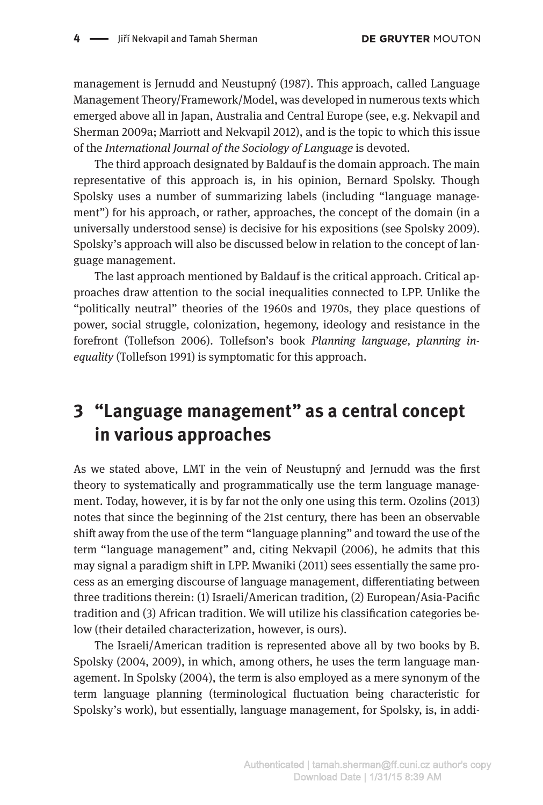management is Jernudd and Neustupný (1987). This approach, called Language Management Theory/Framework/Model, was developed in numerous texts which emerged above all in Japan, Australia and Central Europe (see, e.g. Nekvapil and Sherman 2009a; Marriott and Nekvapil 2012), and is the topic to which this issue of the *International Journal of the Sociology of Language* is devoted.

The third approach designated by Baldauf is the domain approach. The main representative of this approach is, in his opinion, Bernard Spolsky. Though Spolsky uses a number of summarizing labels (including "language management") for his approach, or rather, approaches, the concept of the domain (in a universally understood sense) is decisive for his expositions (see Spolsky 2009). Spolsky's approach will also be discussed below in relation to the concept of language management.

The last approach mentioned by Baldauf is the critical approach. Critical approaches draw attention to the social inequalities connected to LPP. Unlike the "politically neutral" theories of the 1960s and 1970s, they place questions of power, social struggle, colonization, hegemony, ideology and resistance in the forefront (Tollefson 2006). Tollefson's book *Planning language, planning inequality* (Tollefson 1991) is symptomatic for this approach.

# **3 "Language management" as a central concept in various approaches**

As we stated above, LMT in the vein of Neustupný and Jernudd was the first theory to systematically and programmatically use the term language management. Today, however, it is by far not the only one using this term. Ozolins (2013) notes that since the beginning of the 21st century, there has been an observable shift away from the use of the term "language planning" and toward the use of the term "language management" and, citing Nekvapil (2006), he admits that this may signal a paradigm shift in LPP. Mwaniki (2011) sees essentially the same process as an emerging discourse of language management, differentiating between three traditions therein: (1) Israeli/American tradition, (2) European/Asia-Pacific tradition and (3) African tradition. We will utilize his classification categories below (their detailed characterization, however, is ours).

The Israeli/American tradition is represented above all by two books by B. Spolsky (2004, 2009), in which, among others, he uses the term language management. In Spolsky (2004), the term is also employed as a mere synonym of the term language planning (terminological fluctuation being characteristic for Spolsky's work), but essentially, language management, for Spolsky, is, in addi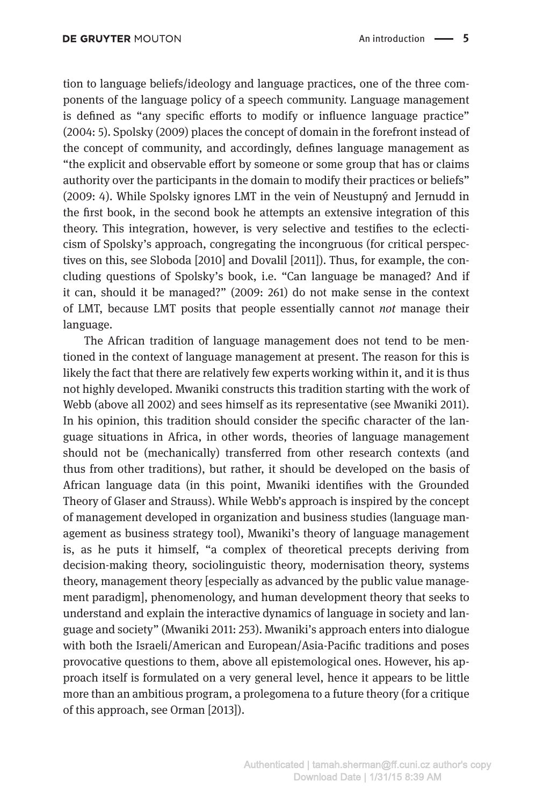tion to language beliefs/ideology and language practices, one of the three components of the language policy of a speech community. Language management is defined as "any specific efforts to modify or influence language practice" (2004: 5). Spolsky (2009) places the concept of domain in the forefront instead of the concept of community, and accordingly, defines language management as "the explicit and observable effort by someone or some group that has or claims authority over the participants in the domain to modify their practices or beliefs" (2009: 4). While Spolsky ignores LMT in the vein of Neustupný and Jernudd in the first book, in the second book he attempts an extensive integration of this theory. This integration, however, is very selective and testifies to the eclecticism of Spolsky's approach, congregating the incongruous (for critical perspectives on this, see Sloboda [2010] and Dovalil [2011]). Thus, for example, the concluding questions of Spolsky's book, i.e. "Can language be managed? And if it can, should it be managed?" (2009: 261) do not make sense in the context of LMT, because LMT posits that people essentially cannot *not* manage their language.

The African tradition of language management does not tend to be mentioned in the context of language management at present. The reason for this is likely the fact that there are relatively few experts working within it, and it is thus not highly developed. Mwaniki constructs this tradition starting with the work of Webb (above all 2002) and sees himself as its representative (see Mwaniki 2011). In his opinion, this tradition should consider the specific character of the language situations in Africa, in other words, theories of language management should not be (mechanically) transferred from other research contexts (and thus from other traditions), but rather, it should be developed on the basis of African language data (in this point, Mwaniki identifies with the Grounded Theory of Glaser and Strauss). While Webb's approach is inspired by the concept of management developed in organization and business studies (language management as business strategy tool), Mwaniki's theory of language management is, as he puts it himself, "a complex of theoretical precepts deriving from decision-making theory, sociolinguistic theory, modernisation theory, systems theory, management theory [especially as advanced by the public value management paradigm], phenomenology, and human development theory that seeks to understand and explain the interactive dynamics of language in society and language and society" (Mwaniki 2011: 253). Mwaniki's approach enters into dialogue with both the Israeli/American and European/Asia-Pacific traditions and poses provocative questions to them, above all epistemological ones. However, his approach itself is formulated on a very general level, hence it appears to be little more than an ambitious program, a prolegomena to a future theory (for a critique of this approach, see Orman [2013]).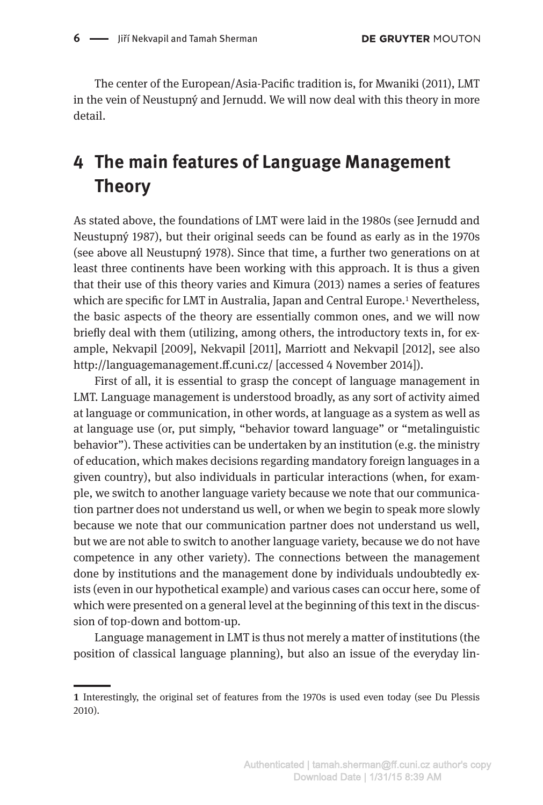The center of the European/Asia-Pacific tradition is, for Mwaniki (2011), LMT in the vein of Neustupný and Jernudd. We will now deal with this theory in more detail.

# **4 The main features of Language Management Theory**

As stated above, the foundations of LMT were laid in the 1980s (see Jernudd and Neustupný 1987), but their original seeds can be found as early as in the 1970s (see above all Neustupný 1978). Since that time, a further two generations on at least three continents have been working with this approach. It is thus a given that their use of this theory varies and Kimura (2013) names a series of features which are specific for LMT in Australia, Japan and Central Europe.<sup>1</sup> Nevertheless, the basic aspects of the theory are essentially common ones, and we will now briefly deal with them (utilizing, among others, the introductory texts in, for example, Nekvapil [2009], Nekvapil [2011], Marriott and Nekvapil [2012], see also http://languagemanagement.ff.cuni.cz/ [accessed 4 November 2014]).

First of all, it is essential to grasp the concept of language management in LMT. Language management is understood broadly, as any sort of activity aimed at language or communication, in other words, at language as a system as well as at language use (or, put simply, "behavior toward language" or "metalinguistic behavior"). These activities can be undertaken by an institution (e.g. the ministry of education, which makes decisions regarding mandatory foreign languages in a given country), but also individuals in particular interactions (when, for example, we switch to another language variety because we note that our communication partner does not understand us well, or when we begin to speak more slowly because we note that our communication partner does not understand us well, but we are not able to switch to another language variety, because we do not have competence in any other variety). The connections between the management done by institutions and the management done by individuals undoubtedly exists (even in our hypothetical example) and various cases can occur here, some of which were presented on a general level at the beginning of this text in the discussion of top-down and bottom-up.

Language management in LMT is thus not merely a matter of institutions (the position of classical language planning), but also an issue of the everyday lin-

**<sup>1</sup>** Interestingly, the original set of features from the 1970s is used even today (see Du Plessis 2010).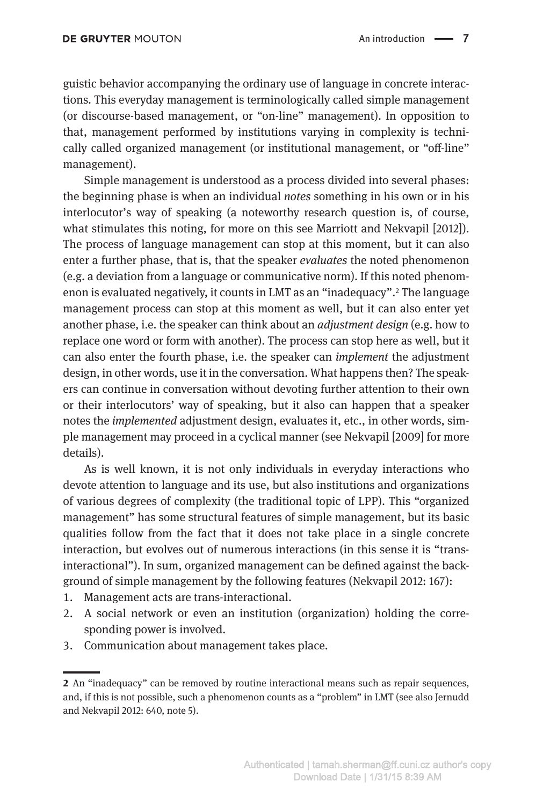guistic behavior accompanying the ordinary use of language in concrete interactions. This everyday management is terminologically called simple management (or discourse-based management, or "on-line" management). In opposition to that, management performed by institutions varying in complexity is technically called organized management (or institutional management, or "off-line" management).

Simple management is understood as a process divided into several phases: the beginning phase is when an individual *notes* something in his own or in his interlocutor's way of speaking (a noteworthy research question is, of course, what stimulates this noting, for more on this see Marriott and Nekvapil [2012]). The process of language management can stop at this moment, but it can also enter a further phase, that is, that the speaker *evaluates* the noted phenomenon (e.g. a deviation from a language or communicative norm). If this noted phenomenon is evaluated negatively, it counts in LMT as an "inadequacy".2 The language management process can stop at this moment as well, but it can also enter yet another phase, i.e. the speaker can think about an *adjustment design* (e.g. how to replace one word or form with another). The process can stop here as well, but it can also enter the fourth phase, i.e. the speaker can *implement* the adjustment design, in other words, use it in the conversation. What happens then? The speakers can continue in conversation without devoting further attention to their own or their interlocutors' way of speaking, but it also can happen that a speaker notes the *implemented* adjustment design, evaluates it, etc., in other words, simple management may proceed in a cyclical manner (see Nekvapil [2009] for more details).

As is well known, it is not only individuals in everyday interactions who devote attention to language and its use, but also institutions and organizations of various degrees of complexity (the traditional topic of LPP). This "organized management" has some structural features of simple management, but its basic qualities follow from the fact that it does not take place in a single concrete interaction, but evolves out of numerous interactions (in this sense it is "transinteractional"). In sum, organized management can be defined against the background of simple management by the following features (Nekvapil 2012: 167):

- 1. Management acts are trans-interactional.
- 2. A social network or even an institution (organization) holding the corresponding power is involved.
- 3. Communication about management takes place.

**<sup>2</sup>** An "inadequacy" can be removed by routine interactional means such as repair sequences, and, if this is not possible, such a phenomenon counts as a "problem" in LMT (see also Jernudd and Nekvapil 2012: 640, note 5).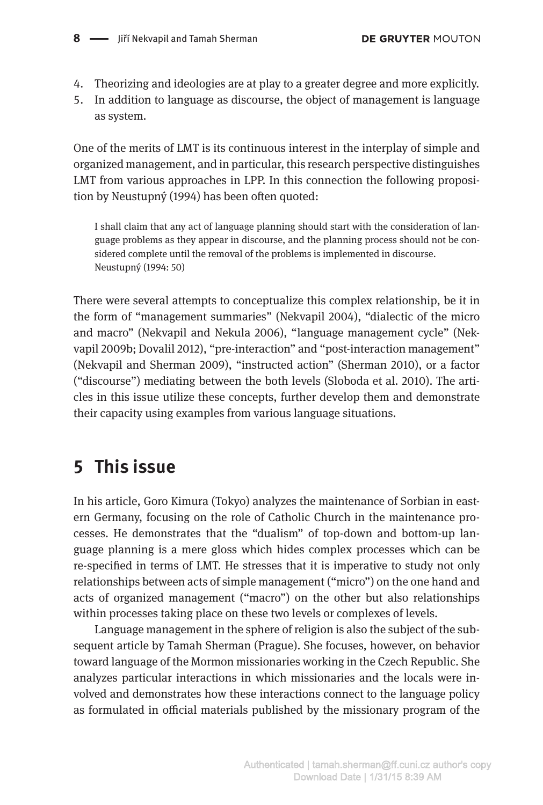- 4. Theorizing and ideologies are at play to a greater degree and more explicitly.
- 5. In addition to language as discourse, the object of management is language as system.

One of the merits of LMT is its continuous interest in the interplay of simple and organized management, and in particular, this research perspective distinguishes LMT from various approaches in LPP. In this connection the following proposition by Neustupný (1994) has been often quoted:

I shall claim that any act of language planning should start with the consideration of language problems as they appear in discourse, and the planning process should not be considered complete until the removal of the problems is implemented in discourse. Neustupný (1994: 50)

There were several attempts to conceptualize this complex relationship, be it in the form of "management summaries" (Nekvapil 2004), "dialectic of the micro and macro" (Nekvapil and Nekula 2006), "language management cycle" (Nekvapil 2009b; Dovalil 2012), "pre-interaction" and "post-interaction management" (Nekvapil and Sherman 2009), "instructed action" (Sherman 2010), or a factor ("discourse") mediating between the both levels (Sloboda et al. 2010). The articles in this issue utilize these concepts, further develop them and demonstrate their capacity using examples from various language situations.

## **5 This issue**

In his article, Goro Kimura (Tokyo) analyzes the maintenance of Sorbian in eastern Germany, focusing on the role of Catholic Church in the maintenance processes. He demonstrates that the "dualism" of top-down and bottom-up language planning is a mere gloss which hides complex processes which can be re-specified in terms of LMT. He stresses that it is imperative to study not only relationships between acts of simple management ("micro") on the one hand and acts of organized management ("macro") on the other but also relationships within processes taking place on these two levels or complexes of levels.

Language management in the sphere of religion is also the subject of the subsequent article by Tamah Sherman (Prague). She focuses, however, on behavior toward language of the Mormon missionaries working in the Czech Republic. She analyzes particular interactions in which missionaries and the locals were involved and demonstrates how these interactions connect to the language policy as formulated in official materials published by the missionary program of the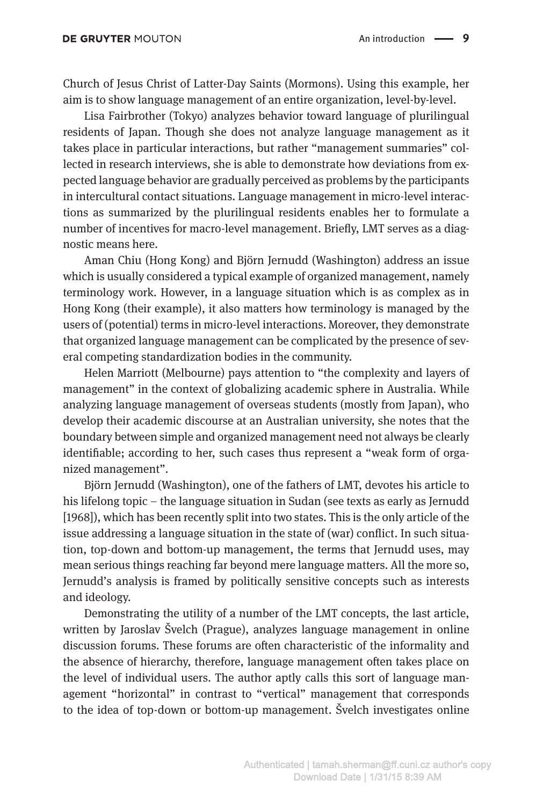Church of Jesus Christ of Latter-Day Saints (Mormons). Using this example, her aim is to show language management of an entire organization, level-by-level.

Lisa Fairbrother (Tokyo) analyzes behavior toward language of plurilingual residents of Japan. Though she does not analyze language management as it takes place in particular interactions, but rather "management summaries" collected in research interviews, she is able to demonstrate how deviations from expected language behavior are gradually perceived as problems by the participants in intercultural contact situations. Language management in micro-level interactions as summarized by the plurilingual residents enables her to formulate a number of incentives for macro-level management. Briefly, LMT serves as a diagnostic means here.

Aman Chiu (Hong Kong) and Björn Jernudd (Washington) address an issue which is usually considered a typical example of organized management, namely terminology work. However, in a language situation which is as complex as in Hong Kong (their example), it also matters how terminology is managed by the users of (potential) terms in micro-level interactions. Moreover, they demonstrate that organized language management can be complicated by the presence of several competing standardization bodies in the community.

Helen Marriott (Melbourne) pays attention to "the complexity and layers of management" in the context of globalizing academic sphere in Australia. While analyzing language management of overseas students (mostly from Japan), who develop their academic discourse at an Australian university, she notes that the boundary between simple and organized management need not always be clearly identifiable; according to her, such cases thus represent a "weak form of organized management".

Björn Jernudd (Washington), one of the fathers of LMT, devotes his article to his lifelong topic – the language situation in Sudan (see texts as early as Jernudd [1968]), which has been recently split into two states. This is the only article of the issue addressing a language situation in the state of (war) conflict. In such situation, top-down and bottom-up management, the terms that Jernudd uses, may mean serious things reaching far beyond mere language matters. All the more so, Jernudd's analysis is framed by politically sensitive concepts such as interests and ideology.

Demonstrating the utility of a number of the LMT concepts, the last article, written by Jaroslav Švelch (Prague), analyzes language management in online discussion forums. These forums are often characteristic of the informality and the absence of hierarchy, therefore, language management often takes place on the level of individual users. The author aptly calls this sort of language management "horizontal" in contrast to "vertical" management that corresponds to the idea of top-down or bottom-up management. Švelch investigates online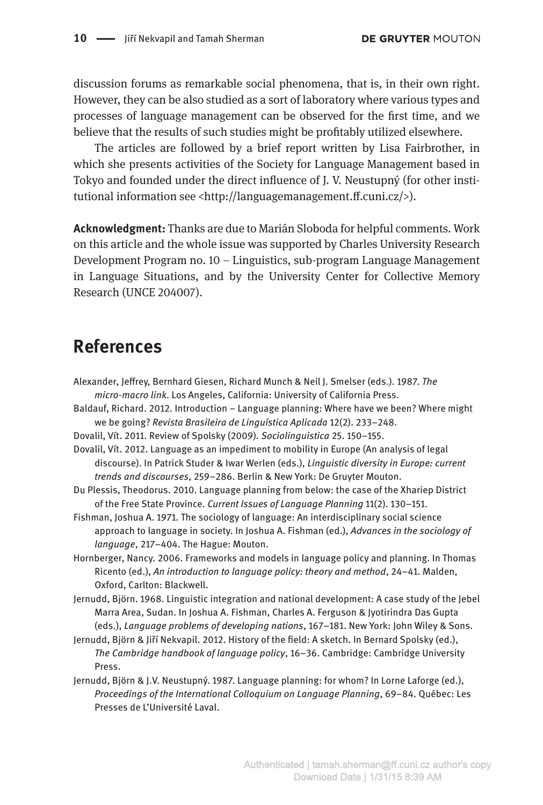discussion forums as remarkable social phenomena, that is, in their own right. However, they can be also studied as a sort of laboratory where various types and processes of language management can be observed for the first time, and we believe that the results of such studies might be profitably utilized elsewhere.

The articles are followed by a brief report written by Lisa Fairbrother, in which she presents activities of the Society for Language Management based in Tokyo and founded under the direct influence of J. V. Neustupný (for other institutional information see <http://languagemanagement.ff.cuni.cz/>).

**Acknowledgment:** Thanks are due to Marián Sloboda for helpful comments. Work on this article and the whole issue was supported by Charles University Research Development Program no. 10 – Linguistics, sub-program Language Management in Language Situations, and by the University Center for Collective Memory Research (UNCE 204007).

#### **References**

- Alexander, Jeffrey, Bernhard Giesen, Richard Munch & Neil J. Smelser (eds.). 1987. *The micro-macro link*. Los Angeles, California: University of California Press.
- Baldauf, Richard. 2012. Introduction Language planning: Where have we been? Where might we be going? *Revista Brasileira de Linguística Aplicada* 12(2). 233–248.
- Dovalil, Vít. 2011. Review of Spolsky (2009). *Sociolinguistica* 25. 150–155.

Dovalil, Vít. 2012. Language as an impediment to mobility in Europe (An analysis of legal discourse). In Patrick Studer & Iwar Werlen (eds.), *Linguistic diversity in Europe: current trends and discourses*, 259–286. Berlin & New York: De Gruyter Mouton.

- Du Plessis, Theodorus. 2010. Language planning from below: the case of the Xhariep District of the Free State Province. *Current Issues of Language Planning* 11(2). 130–151.
- Fishman, Joshua A. 1971. The sociology of language: An interdisciplinary social science approach to language in society. In Joshua A. Fishman (ed.), *Advances in the sociology of language*, 217–404. The Hague: Mouton.
- Hornberger, Nancy. 2006. Frameworks and models in language policy and planning. In Thomas Ricento (ed.), *An introduction to language policy: theory and method*, 24–41. Malden, Oxford, Carlton: Blackwell.
- Jernudd, Björn. 1968. Linguistic integration and national development: A case study of the Jebel Marra Area, Sudan. In Joshua A. Fishman, Charles A. Ferguson & Jyotirindra Das Gupta (eds.), *Language problems of developing nations*, 167–181. New York: John Wiley & Sons.
- Jernudd, Björn & Jiří Nekvapil. 2012. History of the field: A sketch. In Bernard Spolsky (ed.), *The Cambridge handbook of language policy*, 16–36. Cambridge: Cambridge University Press.
- Jernudd, Björn & J.V. Neustupný. 1987. Language planning: for whom? In Lorne Laforge (ed.), *Proceedings of the International Colloquium on Language Planning*, 69–84. Québec: Les Presses de L'Université Laval.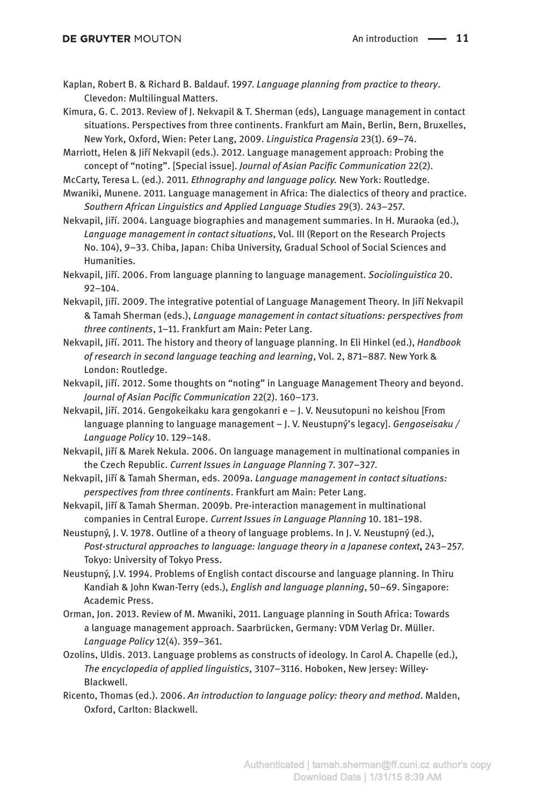Kaplan, Robert B. & Richard B. Baldauf. 1997. *Language planning from practice to theory*. Clevedon: Multilingual Matters.

Kimura, G. C. 2013. Review of J. Nekvapil & T. Sherman (eds), Language management in contact situations. Perspectives from three continents. Frankfurt am Main, Berlin, Bern, Bruxelles, New York, Oxford, Wien: Peter Lang, 2009. *Linguistica Pragensia* 23(1). 69–74.

Marriott, Helen & Jiří Nekvapil (eds.). 2012. Language management approach: Probing the concept of "noting". [Special issue]. *Journal of Asian Pacific Communication* 22(2).

McCarty, Teresa L. (ed.). 2011. *Ethnography and language policy.* New York: Routledge.

Mwaniki, Munene. 2011. Language management in Africa: The dialectics of theory and practice. *Southern African Linguistics and Applied Language Studies* 29(3). 243–257.

Nekvapil, Jiří. 2004. Language biographies and management summaries. In H. Muraoka (ed.), *Language management in contact situations*, Vol. III (Report on the Research Projects No. 104), 9–33. Chiba, Japan: Chiba University, Gradual School of Social Sciences and Humanities.

Nekvapil, Jiří. 2006. From language planning to language management. *Sociolinguistica* 20. 92–104.

- Nekvapil, Jiří. 2009. The integrative potential of Language Management Theory. In Jiří Nekvapil & Tamah Sherman (eds.), *Language management in contact situations: perspectives from three continents*, 1–11. Frankfurt am Main: Peter Lang.
- Nekvapil, Jiří. 2011. The history and theory of language planning. In Eli Hinkel (ed.), *Handbook of research in second language teaching and learning*, Vol. 2, 871–887. New York & London: Routledge.

Nekvapil, Jiří. 2012. Some thoughts on "noting" in Language Management Theory and beyond. *Journal of Asian Pacific Communication* 22(2). 160–173.

Nekvapil, Jiří. 2014. Gengokeikaku kara gengokanri e – J. V. Neusutopuni no keishou [From language planning to language management – J. V. Neustupný's legacy]. *Gengoseisaku / Language Policy* 10. 129–148.

Nekvapil, Jiří & Marek Nekula. 2006. On language management in multinational companies in the Czech Republic. *Current Issues in Language Planning* 7. 307–327.

- Nekvapil, Jiří & Tamah Sherman, eds. 2009a. *Language management in contact situations: perspectives from three continents*. Frankfurt am Main: Peter Lang.
- Nekvapil, Jiří & Tamah Sherman. 2009b. Pre-interaction management in multinational companies in Central Europe. *Current Issues in Language Planning* 10. 181–198.
- Neustupný, J. V. 1978. Outline of a theory of language problems. In J. V. Neustupný (ed.), *Post-structural approaches to language: language theory in a Japanese context***,** 243–257. Tokyo: University of Tokyo Press.
- Neustupný, J.V. 1994. Problems of English contact discourse and language planning. In Thiru Kandiah & John Kwan-Terry (eds.), *English and language planning*, 50–69. Singapore: Academic Press.
- Orman, Jon. 2013. Review of M. Mwaniki, 2011. Language planning in South Africa: Towards a language management approach. Saarbrücken, Germany: VDM Verlag Dr. Müller. *Language Policy* 12(4). 359–361.
- Ozolins, Uldis. 2013. Language problems as constructs of ideology. In Carol A. Chapelle (ed.), *The encyclopedia of applied linguistics*, 3107–3116. Hoboken, New Jersey: Willey-Blackwell.
- Ricento, Thomas (ed.). 2006. *An introduction to language policy: theory and method*. Malden, Oxford, Carlton: Blackwell.